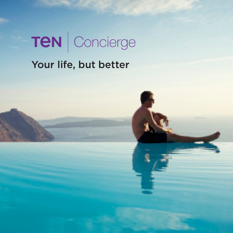# Ten | Concierge

## Your life, but better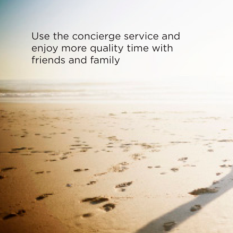Use the concierge service and enjoy more quality time with friends and family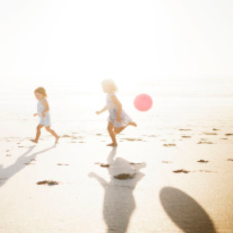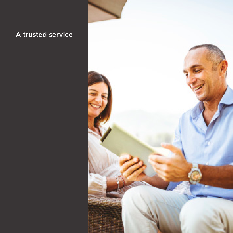

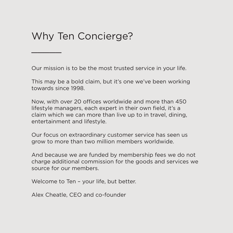## Why Ten Concierge?

\_\_\_\_\_

Our mission is to be the most trusted service in your life.

This may be a bold claim, but it's one we've been working towards since 1998.

Now, with over 20 offices worldwide and more than 450 lifestyle managers, each expert in their own field, it's a claim which we can more than live up to in travel, dining, entertainment and lifestyle.

Our focus on extraordinary customer service has seen us grow to more than two million members worldwide.

And because we are funded by membership fees we do not charge additional commission for the goods and services we source for our members.

Welcome to Ten – your life, but better.

Alex Cheatle, CEO and co-founder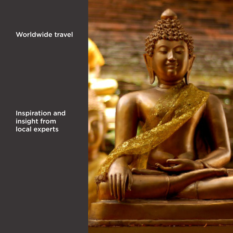#### Worldwide travel

Inspiration and insight from local experts

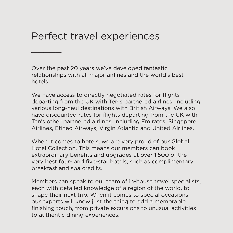## Perfect travel experiences

\_\_\_\_\_

Over the past 20 years we've developed fantastic relationships with all major airlines and the world's best hotels.

We have access to directly negotiated rates for flights departing from the UK with Ten's partnered airlines, including various long-haul destinations with British Airways. We also have discounted rates for flights departing from the UK with Ten's other partnered airlines, including Emirates, Singapore Airlines, Etihad Airways, Virgin Atlantic and United Airlines.

When it comes to hotels, we are very proud of our Global Hotel Collection. This means our members can book extraordinary benefits and upgrades at over 1,500 of the very best four- and five-star hotels, such as complimentary breakfast and spa credits.

Members can speak to our team of in-house travel specialists, each with detailed knowledge of a region of the world, to shape their next trip. When it comes to special occasions, our experts will know just the thing to add a memorable finishing touch, from private excursions to unusual activities to authentic dining experiences.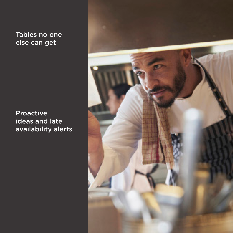#### Tables no one else can get

Proactive ideas and late availability alerts

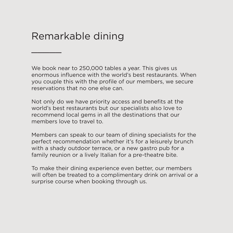## Remarkable dining

\_\_\_\_\_

We book near to 250,000 tables a year. This gives us enormous influence with the world's best restaurants. When you couple this with the profile of our members, we secure reservations that no one else can.

Not only do we have priority access and benefits at the world's best restaurants but our specialists also love to recommend local gems in all the destinations that our members love to travel to.

Members can speak to our team of dining specialists for the perfect recommendation whether it's for a leisurely brunch with a shady outdoor terrace, or a new gastro pub for a family reunion or a lively Italian for a pre-theatre bite.

To make their dining experience even better, our members will often be treated to a complimentary drink on arrival or a surprise course when booking through us.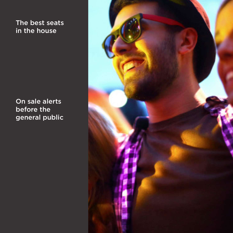#### The best seats in the house

On sale alerts before the general public

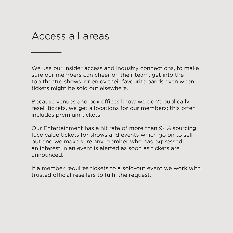## Access all areas

\_\_\_\_\_

We use our insider access and industry connections, to make sure our members can cheer on their team, get into the top theatre shows, or enjoy their favourite bands even when tickets might be sold out elsewhere.

Because venues and box offices know we don't publically resell tickets, we get allocations for our members; this often includes premium tickets.

Our Entertainment has a hit rate of more than 94% sourcing face value tickets for shows and events which go on to sell out and we make sure any member who has expressed an interest in an event is alerted as soon as tickets are announced.

If a member requires tickets to a sold-out event we work with trusted official resellers to fulfil the request.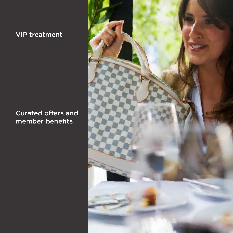#### VIP treatment

#### Curated offers and member benefits

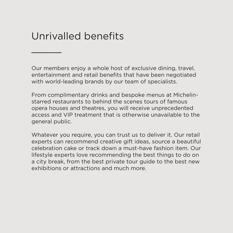## Unrivalled benefits

\_\_\_\_\_

Our members enjoy a whole host of exclusive dining, travel, entertainment and retail benefits that have been negotiated with world-leading brands by our team of specialists.

From complimentary drinks and bespoke menus at Michelinstarred restaurants to behind the scenes tours of famous opera houses and theatres, you will receive unprecedented access and VIP treatment that is otherwise unavailable to the general public.

Whatever you require, you can trust us to deliver it. Our retail experts can recommend creative gift ideas, source a beautiful celebration cake or track down a must-have fashion item. Our lifestyle experts love recommending the best things to do on a city break, from the best private tour guide to the best new exhibitions or attractions and much more.